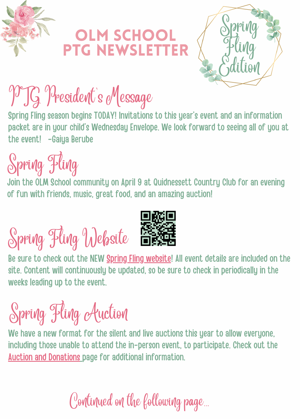

#### **OLM SCHOOL** PTG NEWSLETTER



### PTG President's Message

Spring Fling season begins TODAY! Invitations to this year's event and an information packet are in your child's Wednesday Envelope. We look forward to seeing all of you at the event! -Gaiya Berube

Spring Fling

Join the OLM School community on April 9 at Quidnessett Country Club for an evening of fun with friends, music, great food, and an amazing auction!

Spring Fling Website



Be sure to check out the NEW Spring Fling [website!](http://www.olmspringfling.com/) All event details are included on the site. Content will continuously be updated, so be sure to check in periodically in the weeks leading up to the event.

Spring Fling Auction

We have a new format for the silent and live auctions this year to allow everyone, including those unable to attend the in-person event, to participate. Check out the Auction and [Donations](https://olmspringfling.com/auctionanddonations) page for additional information.

Continued on the following page...